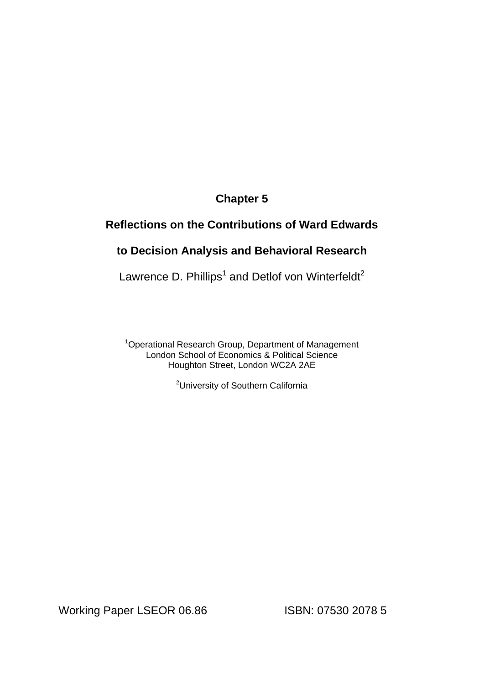# **Chapter 5**

# **Reflections on the Contributions of Ward Edwards**

## **to Decision Analysis and Behavioral Research**

Lawrence D. Phillips<sup>1</sup> and Detlof von Winterfeldt<sup>2</sup>

<sup>1</sup>Operational Research Group, Department of Management London School of Economics & Political Science Houghton Street, London WC2A 2AE

<sup>2</sup>University of Southern California

Working Paper LSEOR 06.86 ISBN: 07530 2078 5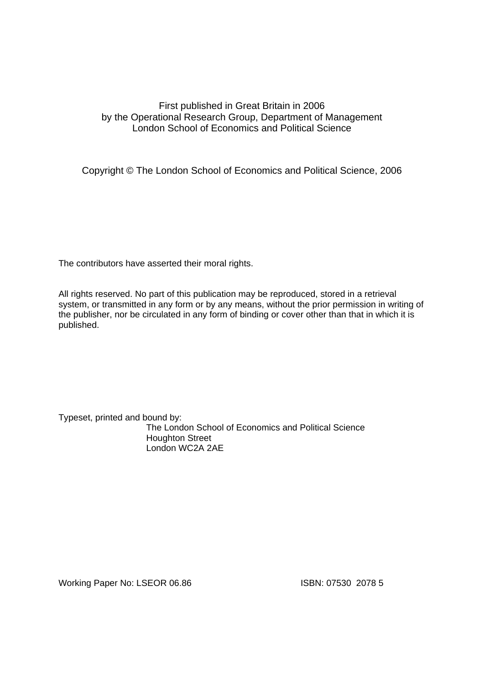## First published in Great Britain in 2006 by the Operational Research Group, Department of Management London School of Economics and Political Science

Copyright © The London School of Economics and Political Science, 2006

The contributors have asserted their moral rights.

All rights reserved. No part of this publication may be reproduced, stored in a retrieval system, or transmitted in any form or by any means, without the prior permission in writing of the publisher, nor be circulated in any form of binding or cover other than that in which it is published.

Typeset, printed and bound by: The London School of Economics and Political Science Houghton Street London WC2A 2AE

Working Paper No: LSEOR 06.86 ISBN: 07530 2078 5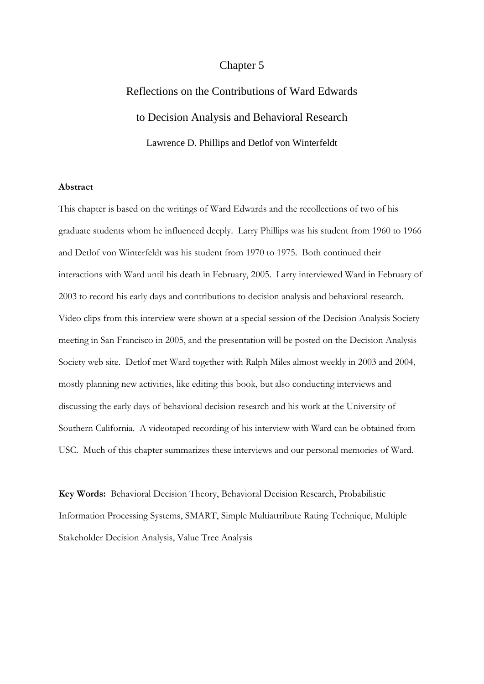## Chapter 5

# Reflections on the Contributions of Ward Edwards to Decision Analysis and Behavioral Research Lawrence D. Phillips and Detlof von Winterfeldt

#### **Abstract**

This chapter is based on the writings of Ward Edwards and the recollections of two of his graduate students whom he influenced deeply. Larry Phillips was his student from 1960 to 1966 and Detlof von Winterfeldt was his student from 1970 to 1975. Both continued their interactions with Ward until his death in February, 2005. Larry interviewed Ward in February of 2003 to record his early days and contributions to decision analysis and behavioral research. Video clips from this interview were shown at a special session of the Decision Analysis Society meeting in San Francisco in 2005, and the presentation will be posted on the Decision Analysis Society web site. Detlof met Ward together with Ralph Miles almost weekly in 2003 and 2004, mostly planning new activities, like editing this book, but also conducting interviews and discussing the early days of behavioral decision research and his work at the University of Southern California. A videotaped recording of his interview with Ward can be obtained from USC. Much of this chapter summarizes these interviews and our personal memories of Ward.

**Key Words:** Behavioral Decision Theory, Behavioral Decision Research, Probabilistic Information Processing Systems, SMART, Simple Multiattribute Rating Technique, Multiple Stakeholder Decision Analysis, Value Tree Analysis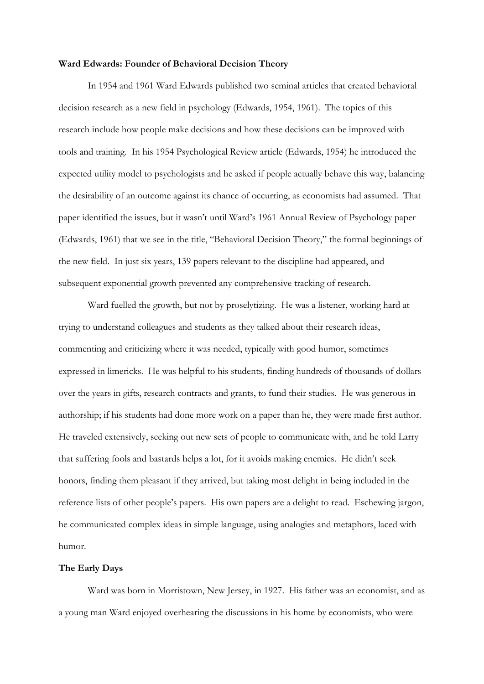#### **Ward Edwards: Founder of Behavioral Decision Theory**

In 1954 and 1961 Ward Edwards published two seminal articles that created behavioral decision research as a new field in psychology (Edwards, 1954, 1961). The topics of this research include how people make decisions and how these decisions can be improved with tools and training. In his 1954 Psychological Review article (Edwards, 1954) he introduced the expected utility model to psychologists and he asked if people actually behave this way, balancing the desirability of an outcome against its chance of occurring, as economists had assumed. That paper identified the issues, but it wasn't until Ward's 1961 Annual Review of Psychology paper (Edwards, 1961) that we see in the title, "Behavioral Decision Theory," the formal beginnings of the new field. In just six years, 139 papers relevant to the discipline had appeared, and subsequent exponential growth prevented any comprehensive tracking of research.

Ward fuelled the growth, but not by proselytizing. He was a listener, working hard at trying to understand colleagues and students as they talked about their research ideas, commenting and criticizing where it was needed, typically with good humor, sometimes expressed in limericks. He was helpful to his students, finding hundreds of thousands of dollars over the years in gifts, research contracts and grants, to fund their studies. He was generous in authorship; if his students had done more work on a paper than he, they were made first author. He traveled extensively, seeking out new sets of people to communicate with, and he told Larry that suffering fools and bastards helps a lot, for it avoids making enemies. He didn't seek honors, finding them pleasant if they arrived, but taking most delight in being included in the reference lists of other people's papers. His own papers are a delight to read. Eschewing jargon, he communicated complex ideas in simple language, using analogies and metaphors, laced with humor.

#### **The Early Days**

Ward was born in Morristown, New Jersey, in 1927. His father was an economist, and as a young man Ward enjoyed overhearing the discussions in his home by economists, who were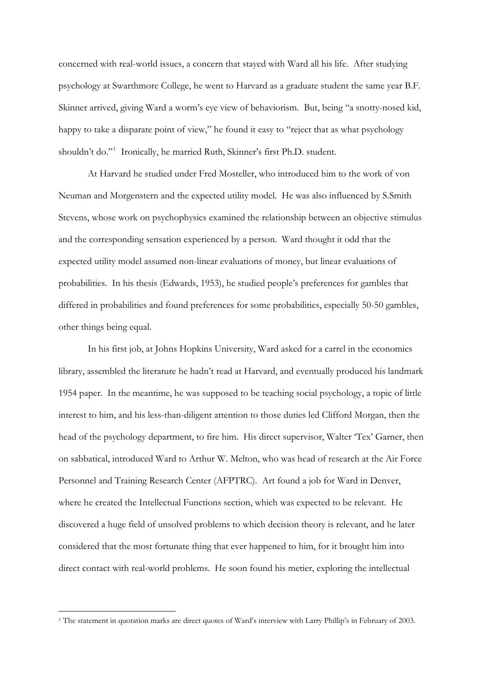concerned with real-world issues, a concern that stayed with Ward all his life. After studying psychology at Swarthmore College, he went to Harvard as a graduate student the same year B.F. Skinner arrived, giving Ward a worm's eye view of behaviorism. But, being "a snotty-nosed kid, happy to take a disparate point of view," he found it easy to "reject that as what psychology shouldn't do."<sup>[1](#page-4-0)</sup> Ironically, he married Ruth, Skinner's first Ph.D. student.

At Harvard he studied under Fred Mosteller, who introduced him to the work of von Neuman and Morgenstern and the expected utility model. He was also influenced by S.Smith Stevens, whose work on psychophysics examined the relationship between an objective stimulus and the corresponding sensation experienced by a person. Ward thought it odd that the expected utility model assumed non-linear evaluations of money, but linear evaluations of probabilities. In his thesis (Edwards, 1953), he studied people's preferences for gambles that differed in probabilities and found preferences for some probabilities, especially 50-50 gambles, other things being equal.

In his first job, at Johns Hopkins University, Ward asked for a carrel in the economics library, assembled the literature he hadn't read at Harvard, and eventually produced his landmark 1954 paper. In the meantime, he was supposed to be teaching social psychology, a topic of little interest to him, and his less-than-diligent attention to those duties led Clifford Morgan, then the head of the psychology department, to fire him. His direct supervisor, Walter 'Tex' Garner, then on sabbatical, introduced Ward to Arthur W. Melton, who was head of research at the Air Force Personnel and Training Research Center (AFPTRC). Art found a job for Ward in Denver, where he created the Intellectual Functions section, which was expected to be relevant. He discovered a huge field of unsolved problems to which decision theory is relevant, and he later considered that the most fortunate thing that ever happened to him, for it brought him into direct contact with real-world problems. He soon found his metier, exploring the intellectual

<u>.</u>

<span id="page-4-0"></span><sup>&</sup>lt;sup>1</sup> The statement in quotation marks are direct quotes of Ward's interview with Larry Phillip's in February of 2003.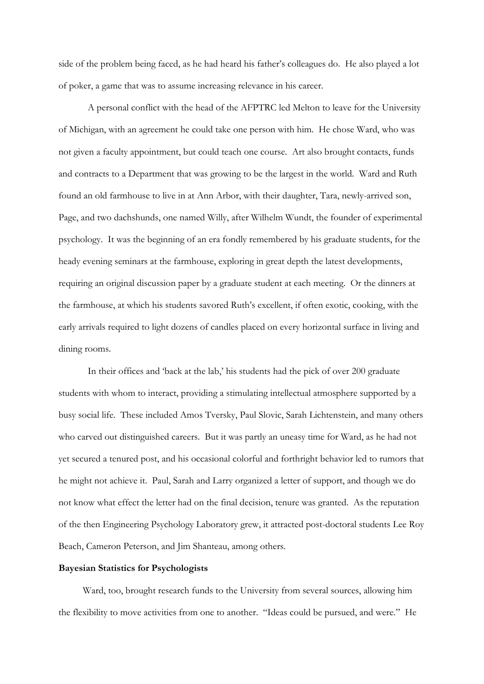side of the problem being faced, as he had heard his father's colleagues do. He also played a lot of poker, a game that was to assume increasing relevance in his career.

A personal conflict with the head of the AFPTRC led Melton to leave for the University of Michigan, with an agreement he could take one person with him. He chose Ward, who was not given a faculty appointment, but could teach one course. Art also brought contacts, funds and contracts to a Department that was growing to be the largest in the world. Ward and Ruth found an old farmhouse to live in at Ann Arbor, with their daughter, Tara, newly-arrived son, Page, and two dachshunds, one named Willy, after Wilhelm Wundt, the founder of experimental psychology. It was the beginning of an era fondly remembered by his graduate students, for the heady evening seminars at the farmhouse, exploring in great depth the latest developments, requiring an original discussion paper by a graduate student at each meeting. Or the dinners at the farmhouse, at which his students savored Ruth's excellent, if often exotic, cooking, with the early arrivals required to light dozens of candles placed on every horizontal surface in living and dining rooms.

In their offices and 'back at the lab,' his students had the pick of over 200 graduate students with whom to interact, providing a stimulating intellectual atmosphere supported by a busy social life. These included Amos Tversky, Paul Slovic, Sarah Lichtenstein, and many others who carved out distinguished careers. But it was partly an uneasy time for Ward, as he had not yet secured a tenured post, and his occasional colorful and forthright behavior led to rumors that he might not achieve it. Paul, Sarah and Larry organized a letter of support, and though we do not know what effect the letter had on the final decision, tenure was granted. As the reputation of the then Engineering Psychology Laboratory grew, it attracted post-doctoral students Lee Roy Beach, Cameron Peterson, and Jim Shanteau, among others.

#### **Bayesian Statistics for Psychologists**

Ward, too, brought research funds to the University from several sources, allowing him the flexibility to move activities from one to another. "Ideas could be pursued, and were." He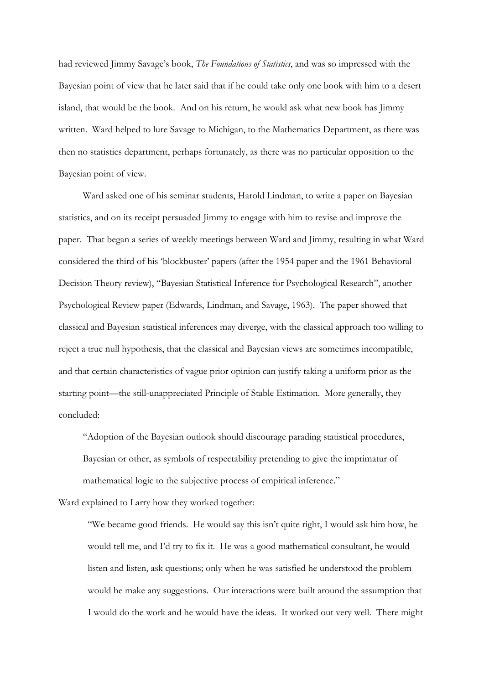had reviewed Jimmy Savage's book, *The Foundations of Statistics*, and was so impressed with the Bayesian point of view that he later said that if he could take only one book with him to a desert island, that would be the book. And on his return, he would ask what new book has Jimmy written. Ward helped to lure Savage to Michigan, to the Mathematics Department, as there was then no statistics department, perhaps fortunately, as there was no particular opposition to the Bayesian point of view.

Ward asked one of his seminar students, Harold Lindman, to write a paper on Bayesian statistics, and on its receipt persuaded Jimmy to engage with him to revise and improve the paper. That began a series of weekly meetings between Ward and Jimmy, resulting in what Ward considered the third of his 'blockbuster' papers (after the 1954 paper and the 1961 Behavioral Decision Theory review), "Bayesian Statistical Inference for Psychological Research", another Psychological Review paper (Edwards, Lindman, and Savage, 1963). The paper showed that classical and Bayesian statistical inferences may diverge, with the classical approach too willing to reject a true null hypothesis, that the classical and Bayesian views are sometimes incompatible, and that certain characteristics of vague prior opinion can justify taking a uniform prior as the starting point—the still-unappreciated Principle of Stable Estimation. More generally, they concluded:

"Adoption of the Bayesian outlook should discourage parading statistical procedures, Bayesian or other, as symbols of respectability pretending to give the imprimatur of mathematical logic to the subjective process of empirical inference."

Ward explained to Larry how they worked together:

"We became good friends. He would say this isn't quite right, I would ask him how, he would tell me, and I'd try to fix it. He was a good mathematical consultant, he would listen and listen, ask questions; only when he was satisfied he understood the problem would he make any suggestions. Our interactions were built around the assumption that I would do the work and he would have the ideas. It worked out very well. There might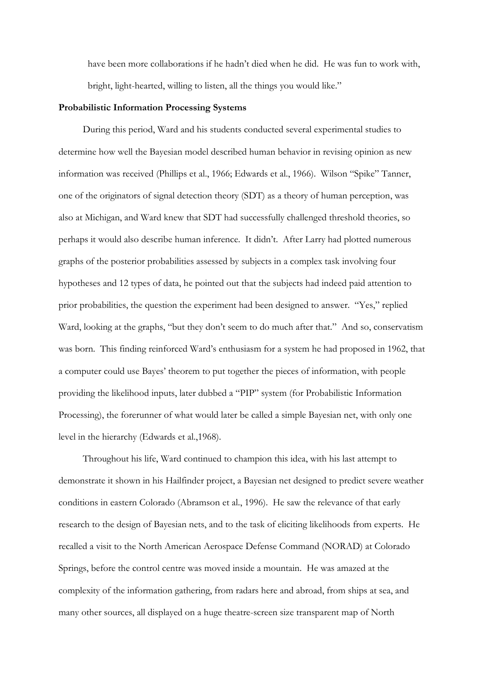have been more collaborations if he hadn't died when he did. He was fun to work with, bright, light-hearted, willing to listen, all the things you would like."

#### **Probabilistic Information Processing Systems**

During this period, Ward and his students conducted several experimental studies to determine how well the Bayesian model described human behavior in revising opinion as new information was received (Phillips et al., 1966; Edwards et al., 1966). Wilson "Spike" Tanner, one of the originators of signal detection theory (SDT) as a theory of human perception, was also at Michigan, and Ward knew that SDT had successfully challenged threshold theories, so perhaps it would also describe human inference. It didn't. After Larry had plotted numerous graphs of the posterior probabilities assessed by subjects in a complex task involving four hypotheses and 12 types of data, he pointed out that the subjects had indeed paid attention to prior probabilities, the question the experiment had been designed to answer. "Yes," replied Ward, looking at the graphs, "but they don't seem to do much after that." And so, conservatism was born. This finding reinforced Ward's enthusiasm for a system he had proposed in 1962, that a computer could use Bayes' theorem to put together the pieces of information, with people providing the likelihood inputs, later dubbed a "PIP" system (for Probabilistic Information Processing), the forerunner of what would later be called a simple Bayesian net, with only one level in the hierarchy (Edwards et al.,1968).

Throughout his life, Ward continued to champion this idea, with his last attempt to demonstrate it shown in his Hailfinder project, a Bayesian net designed to predict severe weather conditions in eastern Colorado (Abramson et al., 1996). He saw the relevance of that early research to the design of Bayesian nets, and to the task of eliciting likelihoods from experts. He recalled a visit to the North American Aerospace Defense Command (NORAD) at Colorado Springs, before the control centre was moved inside a mountain. He was amazed at the complexity of the information gathering, from radars here and abroad, from ships at sea, and many other sources, all displayed on a huge theatre-screen size transparent map of North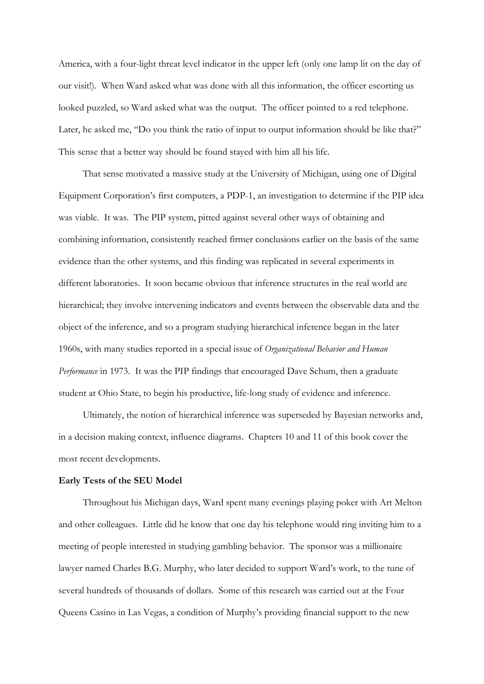America, with a four-light threat level indicator in the upper left (only one lamp lit on the day of our visit!). When Ward asked what was done with all this information, the officer escorting us looked puzzled, so Ward asked what was the output. The officer pointed to a red telephone. Later, he asked me, "Do you think the ratio of input to output information should be like that?" This sense that a better way should be found stayed with him all his life.

That sense motivated a massive study at the University of Michigan, using one of Digital Equipment Corporation's first computers, a PDP-1, an investigation to determine if the PIP idea was viable. It was. The PIP system, pitted against several other ways of obtaining and combining information, consistently reached firmer conclusions earlier on the basis of the same evidence than the other systems, and this finding was replicated in several experiments in different laboratories. It soon became obvious that inference structures in the real world are hierarchical; they involve intervening indicators and events between the observable data and the object of the inference, and so a program studying hierarchical inference began in the later 1960s, with many studies reported in a special issue of *Organizational Behavior and Human Performance* in 1973. It was the PIP findings that encouraged Dave Schum, then a graduate student at Ohio State, to begin his productive, life-long study of evidence and inference.

Ultimately, the notion of hierarchical inference was superseded by Bayesian networks and, in a decision making context, influence diagrams. Chapters 10 and 11 of this book cover the most recent developments.

#### **Early Tests of the SEU Model**

Throughout his Michigan days, Ward spent many evenings playing poker with Art Melton and other colleagues. Little did he know that one day his telephone would ring inviting him to a meeting of people interested in studying gambling behavior. The sponsor was a millionaire lawyer named Charles B.G. Murphy, who later decided to support Ward's work, to the tune of several hundreds of thousands of dollars. Some of this research was carried out at the Four Queens Casino in Las Vegas, a condition of Murphy's providing financial support to the new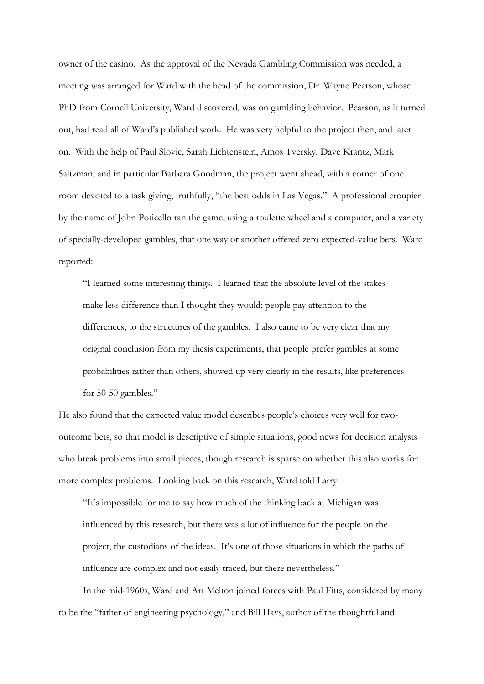owner of the casino. As the approval of the Nevada Gambling Commission was needed, a meeting was arranged for Ward with the head of the commission, Dr. Wayne Pearson, whose PhD from Cornell University, Ward discovered, was on gambling behavior. Pearson, as it turned out, had read all of Ward's published work. He was very helpful to the project then, and later on. With the help of Paul Slovic, Sarah Lichtenstein, Amos Tversky, Dave Krantz, Mark Saltzman, and in particular Barbara Goodman, the project went ahead, with a corner of one room devoted to a task giving, truthfully, "the best odds in Las Vegas." A professional croupier by the name of John Poticello ran the game, using a roulette wheel and a computer, and a variety of specially-developed gambles, that one way or another offered zero expected-value bets. Ward reported:

"I learned some interesting things. I learned that the absolute level of the stakes make less difference than I thought they would; people pay attention to the differences, to the structures of the gambles. I also came to be very clear that my original conclusion from my thesis experiments, that people prefer gambles at some probabilities rather than others, showed up very clearly in the results, like preferences for 50-50 gambles."

He also found that the expected value model describes people's choices very well for twooutcome bets, so that model is descriptive of simple situations, good news for decision analysts who break problems into small pieces, though research is sparse on whether this also works for more complex problems. Looking back on this research, Ward told Larry:

"It's impossible for me to say how much of the thinking back at Michigan was influenced by this research, but there was a lot of influence for the people on the project, the custodians of the ideas. It's one of those situations in which the paths of influence are complex and not easily traced, but there nevertheless."

In the mid-1960s, Ward and Art Melton joined forces with Paul Fitts, considered by many to be the "father of engineering psychology," and Bill Hays, author of the thoughtful and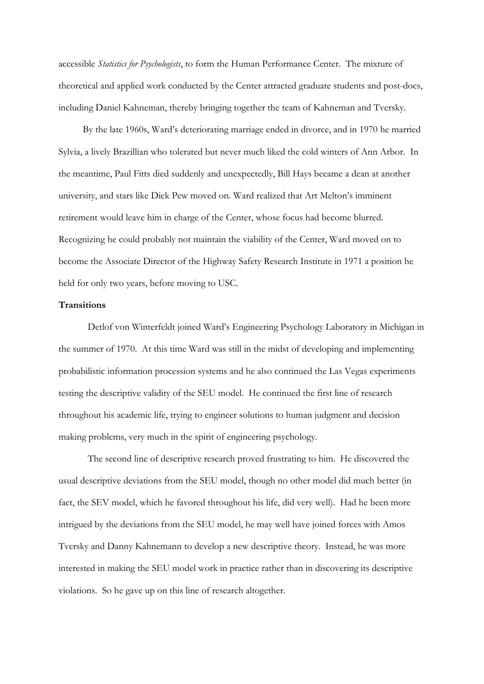accessible *Statistics for Psychologists*, to form the Human Performance Center. The mixture of theoretical and applied work conducted by the Center attracted graduate students and post-docs, including Daniel Kahneman, thereby bringing together the team of Kahneman and Tversky.

By the late 1960s, Ward's deteriorating marriage ended in divorce, and in 1970 he married Sylvia, a lively Brazillian who tolerated but never much liked the cold winters of Ann Arbor. In the meantime, Paul Fitts died suddenly and unexpectedly, Bill Hays became a dean at another university, and stars like Dick Pew moved on. Ward realized that Art Melton's imminent retirement would leave him in charge of the Center, whose focus had become blurred. Recognizing he could probably not maintain the viability of the Center, Ward moved on to become the Associate Director of the Highway Safety Research Institute in 1971 a position he held for only two years, before moving to USC.

#### **Transitions**

Detlof von Winterfeldt joined Ward's Engineering Psychology Laboratory in Michigan in the summer of 1970. At this time Ward was still in the midst of developing and implementing probabilistic information procession systems and he also continued the Las Vegas experiments testing the descriptive validity of the SEU model. He continued the first line of research throughout his academic life, trying to engineer solutions to human judgment and decision making problems, very much in the spirit of engineering psychology.

The second line of descriptive research proved frustrating to him. He discovered the usual descriptive deviations from the SEU model, though no other model did much better (in fact, the SEV model, which he favored throughout his life, did very well). Had he been more intrigued by the deviations from the SEU model, he may well have joined forces with Amos Tversky and Danny Kahnemann to develop a new descriptive theory. Instead, he was more interested in making the SEU model work in practice rather than in discovering its descriptive violations. So he gave up on this line of research altogether.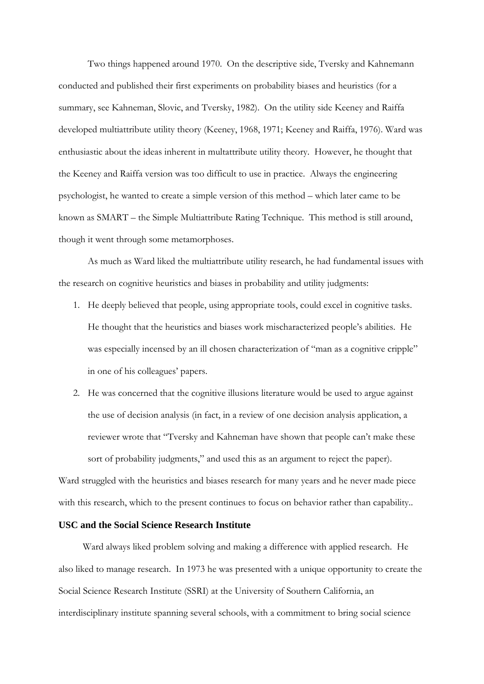Two things happened around 1970. On the descriptive side, Tversky and Kahnemann conducted and published their first experiments on probability biases and heuristics (for a summary, see Kahneman, Slovic, and Tversky, 1982). On the utility side Keeney and Raiffa developed multiattribute utility theory (Keeney, 1968, 1971; Keeney and Raiffa, 1976). Ward was enthusiastic about the ideas inherent in multattribute utility theory. However, he thought that the Keeney and Raiffa version was too difficult to use in practice. Always the engineering psychologist, he wanted to create a simple version of this method – which later came to be known as SMART – the Simple Multiattribute Rating Technique. This method is still around, though it went through some metamorphoses.

As much as Ward liked the multiattribute utility research, he had fundamental issues with the research on cognitive heuristics and biases in probability and utility judgments:

- 1. He deeply believed that people, using appropriate tools, could excel in cognitive tasks. He thought that the heuristics and biases work mischaracterized people's abilities. He was especially incensed by an ill chosen characterization of "man as a cognitive cripple" in one of his colleagues' papers.
- 2. He was concerned that the cognitive illusions literature would be used to argue against the use of decision analysis (in fact, in a review of one decision analysis application, a reviewer wrote that "Tversky and Kahneman have shown that people can't make these sort of probability judgments," and used this as an argument to reject the paper).

Ward struggled with the heuristics and biases research for many years and he never made piece with this research, which to the present continues to focus on behavior rather than capability..

#### **USC and the Social Science Research Institute**

Ward always liked problem solving and making a difference with applied research. He also liked to manage research. In 1973 he was presented with a unique opportunity to create the Social Science Research Institute (SSRI) at the University of Southern California, an interdisciplinary institute spanning several schools, with a commitment to bring social science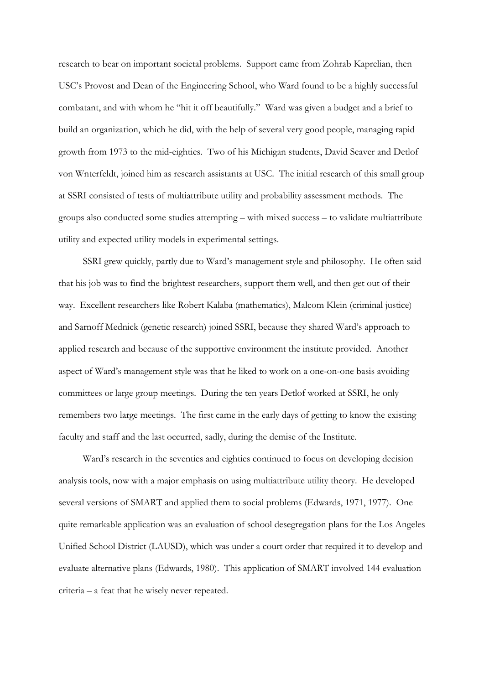research to bear on important societal problems. Support came from Zohrab Kaprelian, then USC's Provost and Dean of the Engineering School, who Ward found to be a highly successful combatant, and with whom he "hit it off beautifully." Ward was given a budget and a brief to build an organization, which he did, with the help of several very good people, managing rapid growth from 1973 to the mid-eighties. Two of his Michigan students, David Seaver and Detlof von Wnterfeldt, joined him as research assistants at USC. The initial research of this small group at SSRI consisted of tests of multiattribute utility and probability assessment methods. The groups also conducted some studies attempting – with mixed success – to validate multiattribute utility and expected utility models in experimental settings.

SSRI grew quickly, partly due to Ward's management style and philosophy. He often said that his job was to find the brightest researchers, support them well, and then get out of their way. Excellent researchers like Robert Kalaba (mathematics), Malcom Klein (criminal justice) and Sarnoff Mednick (genetic research) joined SSRI, because they shared Ward's approach to applied research and because of the supportive environment the institute provided. Another aspect of Ward's management style was that he liked to work on a one-on-one basis avoiding committees or large group meetings. During the ten years Detlof worked at SSRI, he only remembers two large meetings. The first came in the early days of getting to know the existing faculty and staff and the last occurred, sadly, during the demise of the Institute.

Ward's research in the seventies and eighties continued to focus on developing decision analysis tools, now with a major emphasis on using multiattribute utility theory. He developed several versions of SMART and applied them to social problems (Edwards, 1971, 1977). One quite remarkable application was an evaluation of school desegregation plans for the Los Angeles Unified School District (LAUSD), which was under a court order that required it to develop and evaluate alternative plans (Edwards, 1980). This application of SMART involved 144 evaluation criteria – a feat that he wisely never repeated.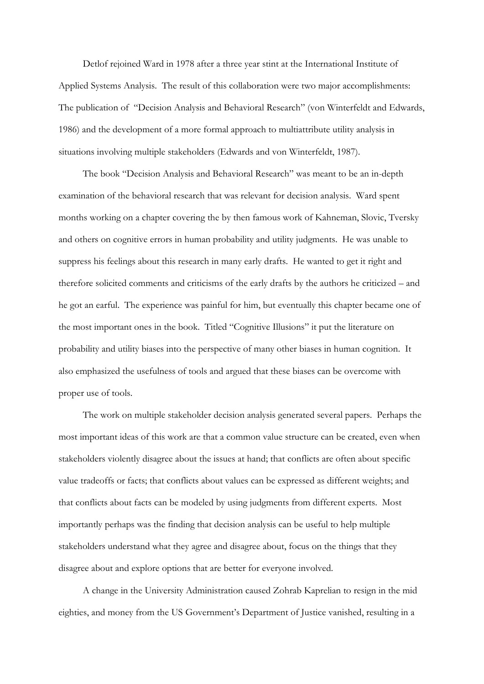Detlof rejoined Ward in 1978 after a three year stint at the International Institute of Applied Systems Analysis. The result of this collaboration were two major accomplishments: The publication of "Decision Analysis and Behavioral Research" (von Winterfeldt and Edwards, 1986) and the development of a more formal approach to multiattribute utility analysis in situations involving multiple stakeholders (Edwards and von Winterfeldt, 1987).

The book "Decision Analysis and Behavioral Research" was meant to be an in-depth examination of the behavioral research that was relevant for decision analysis. Ward spent months working on a chapter covering the by then famous work of Kahneman, Slovic, Tversky and others on cognitive errors in human probability and utility judgments. He was unable to suppress his feelings about this research in many early drafts. He wanted to get it right and therefore solicited comments and criticisms of the early drafts by the authors he criticized – and he got an earful. The experience was painful for him, but eventually this chapter became one of the most important ones in the book. Titled "Cognitive Illusions" it put the literature on probability and utility biases into the perspective of many other biases in human cognition. It also emphasized the usefulness of tools and argued that these biases can be overcome with proper use of tools.

The work on multiple stakeholder decision analysis generated several papers. Perhaps the most important ideas of this work are that a common value structure can be created, even when stakeholders violently disagree about the issues at hand; that conflicts are often about specific value tradeoffs or facts; that conflicts about values can be expressed as different weights; and that conflicts about facts can be modeled by using judgments from different experts. Most importantly perhaps was the finding that decision analysis can be useful to help multiple stakeholders understand what they agree and disagree about, focus on the things that they disagree about and explore options that are better for everyone involved.

A change in the University Administration caused Zohrab Kaprelian to resign in the mid eighties, and money from the US Government's Department of Justice vanished, resulting in a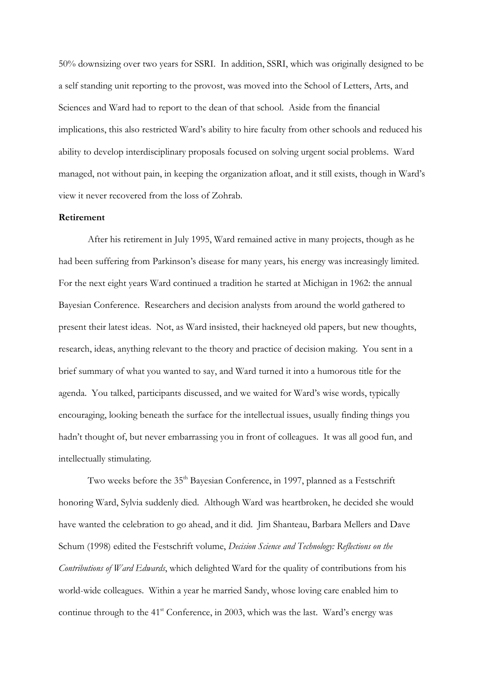50% downsizing over two years for SSRI. In addition, SSRI, which was originally designed to be a self standing unit reporting to the provost, was moved into the School of Letters, Arts, and Sciences and Ward had to report to the dean of that school. Aside from the financial implications, this also restricted Ward's ability to hire faculty from other schools and reduced his ability to develop interdisciplinary proposals focused on solving urgent social problems. Ward managed, not without pain, in keeping the organization afloat, and it still exists, though in Ward's view it never recovered from the loss of Zohrab.

#### **Retirement**

After his retirement in July 1995, Ward remained active in many projects, though as he had been suffering from Parkinson's disease for many years, his energy was increasingly limited. For the next eight years Ward continued a tradition he started at Michigan in 1962: the annual Bayesian Conference. Researchers and decision analysts from around the world gathered to present their latest ideas. Not, as Ward insisted, their hackneyed old papers, but new thoughts, research, ideas, anything relevant to the theory and practice of decision making. You sent in a brief summary of what you wanted to say, and Ward turned it into a humorous title for the agenda. You talked, participants discussed, and we waited for Ward's wise words, typically encouraging, looking beneath the surface for the intellectual issues, usually finding things you hadn't thought of, but never embarrassing you in front of colleagues. It was all good fun, and intellectually stimulating.

Two weeks before the 35th Bayesian Conference, in 1997, planned as a Festschrift honoring Ward, Sylvia suddenly died. Although Ward was heartbroken, he decided she would have wanted the celebration to go ahead, and it did. Jim Shanteau, Barbara Mellers and Dave Schum (1998) edited the Festschrift volume, *Decision Science and Technology: Reflections on the Contributions of Ward Edwards*, which delighted Ward for the quality of contributions from his world-wide colleagues. Within a year he married Sandy, whose loving care enabled him to continue through to the 41<sup>st</sup> Conference, in 2003, which was the last. Ward's energy was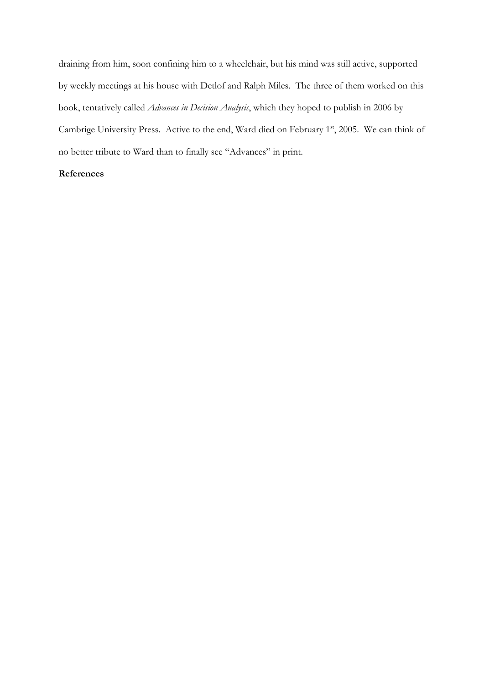draining from him, soon confining him to a wheelchair, but his mind was still active, supported by weekly meetings at his house with Detlof and Ralph Miles. The three of them worked on this book, tentatively called *Advances in Decision Analysis*, which they hoped to publish in 2006 by Cambrige University Press. Active to the end, Ward died on February 1st, 2005. We can think of no better tribute to Ward than to finally see "Advances" in print.

## **References**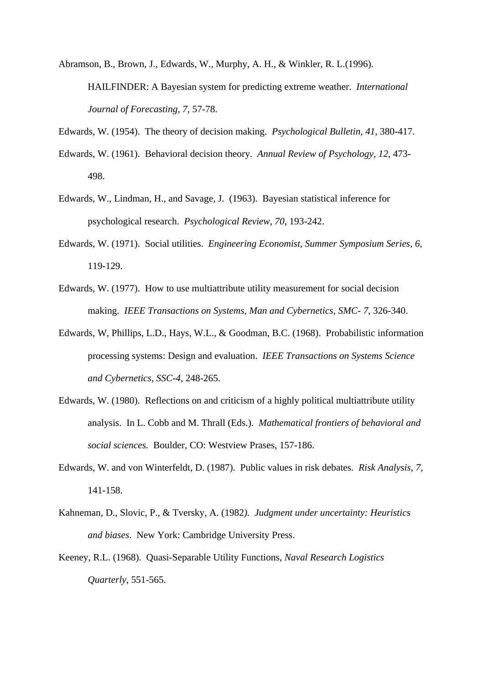Abramson, B., Brown, J., Edwards, W., Murphy, A. H., & Winkler, R. L.(1996). HAILFINDER: A Bayesian system for predicting extreme weather. *International Journal of Forecasting, 7*, 57-78.

Edwards, W. (1954). The theory of decision making. *Psychological Bulletin, 41*, 380-417.

- Edwards, W. (1961). Behavioral decision theory. *Annual Review of Psychology, 12*, 473- 498.
- Edwards, W., Lindman, H., and Savage, J. (1963). Bayesian statistical inference for psychological research. *Psychological Review, 70*, 193-242.
- Edwards, W. (1971). Social utilities. *Engineering Economist, Summer Symposium Series, 6*, 119-129.
- Edwards, W. (1977). How to use multiattribute utility measurement for social decision making. *IEEE Transactions on Systems, Man and Cybernetics, SMC- 7*, 326-340.
- Edwards, W, Phillips, L.D., Hays, W.L., & Goodman, B.C. (1968). Probabilistic information processing systems: Design and evaluation. *IEEE Transactions on Systems Science and Cybernetics, SSC-4*, 248-265.
- Edwards, W. (1980). Reflections on and criticism of a highly political multiattribute utility analysis. In L. Cobb and M. Thrall (Eds.). *Mathematical frontiers of behavioral and social sciences.* Boulder, CO: Westview Prases, 157-186.
- Edwards, W. and von Winterfeldt, D. (1987). Public values in risk debates. *Risk Analysis, 7*, 141-158.
- Kahneman, D., Slovic, P., & Tversky, A. (1982*). Judgment under uncertainty: Heuristics and biases*. New York: Cambridge University Press.
- Keeney, R.L. (1968).Quasi-Separable Utility Functions, *Naval Research Logistics Quarterly*, 551-565.